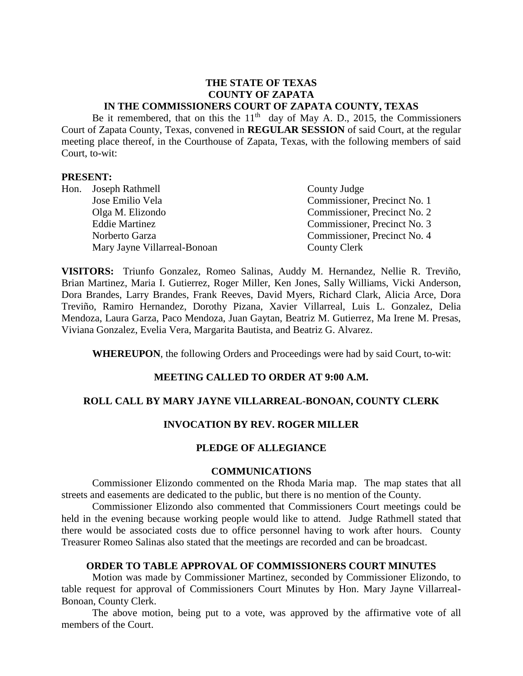#### **THE STATE OF TEXAS COUNTY OF ZAPATA IN THE COMMISSIONERS COURT OF ZAPATA COUNTY, TEXAS**

Be it remembered, that on this the  $11<sup>th</sup>$  day of May A. D., 2015, the Commissioners Court of Zapata County, Texas, convened in **REGULAR SESSION** of said Court, at the regular meeting place thereof, in the Courthouse of Zapata, Texas, with the following members of said Court, to-wit:

#### **PRESENT:**

|  | Hon. Joseph Rathmell         | County Judge                 |
|--|------------------------------|------------------------------|
|  | Jose Emilio Vela             | Commissioner, Precinct No. 1 |
|  | Olga M. Elizondo             | Commissioner, Precinct No. 2 |
|  | <b>Eddie Martinez</b>        | Commissioner, Precinct No. 3 |
|  | Norberto Garza               | Commissioner, Precinct No. 4 |
|  | Mary Jayne Villarreal-Bonoan | <b>County Clerk</b>          |

**VISITORS:** Triunfo Gonzalez, Romeo Salinas, Auddy M. Hernandez, Nellie R. Treviño, Brian Martinez, Maria I. Gutierrez, Roger Miller, Ken Jones, Sally Williams, Vicki Anderson, Dora Brandes, Larry Brandes, Frank Reeves, David Myers, Richard Clark, Alicia Arce, Dora Treviño, Ramiro Hernandez, Dorothy Pizana, Xavier Villarreal, Luis L. Gonzalez, Delia Mendoza, Laura Garza, Paco Mendoza, Juan Gaytan, Beatriz M. Gutierrez, Ma Irene M. Presas, Viviana Gonzalez, Evelia Vera, Margarita Bautista, and Beatriz G. Alvarez.

**WHEREUPON**, the following Orders and Proceedings were had by said Court, to-wit:

# **MEETING CALLED TO ORDER AT 9:00 A.M.**

#### **ROLL CALL BY MARY JAYNE VILLARREAL-BONOAN, COUNTY CLERK**

# **INVOCATION BY REV. ROGER MILLER**

#### **PLEDGE OF ALLEGIANCE**

#### **COMMUNICATIONS**

Commissioner Elizondo commented on the Rhoda Maria map. The map states that all streets and easements are dedicated to the public, but there is no mention of the County.

Commissioner Elizondo also commented that Commissioners Court meetings could be held in the evening because working people would like to attend. Judge Rathmell stated that there would be associated costs due to office personnel having to work after hours. County Treasurer Romeo Salinas also stated that the meetings are recorded and can be broadcast.

## **ORDER TO TABLE APPROVAL OF COMMISSIONERS COURT MINUTES**

Motion was made by Commissioner Martinez, seconded by Commissioner Elizondo, to table request for approval of Commissioners Court Minutes by Hon. Mary Jayne Villarreal-Bonoan, County Clerk.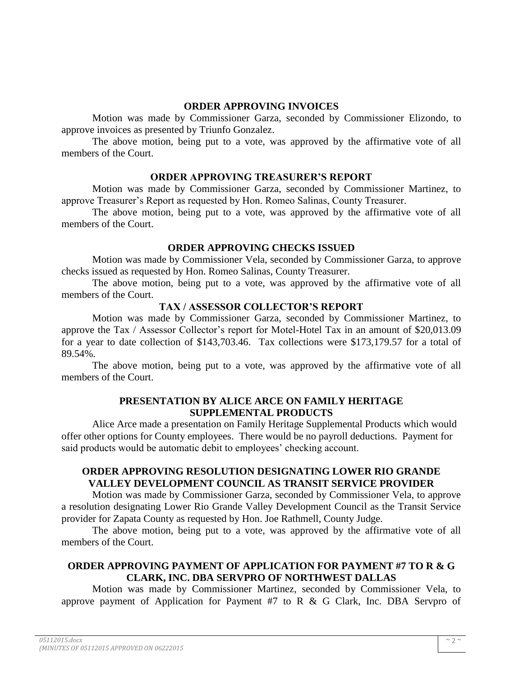## **ORDER APPROVING INVOICES**

Motion was made by Commissioner Garza, seconded by Commissioner Elizondo, to approve invoices as presented by Triunfo Gonzalez.

The above motion, being put to a vote, was approved by the affirmative vote of all members of the Court.

#### **ORDER APPROVING TREASURER'S REPORT**

Motion was made by Commissioner Garza, seconded by Commissioner Martinez, to approve Treasurer's Report as requested by Hon. Romeo Salinas, County Treasurer.

The above motion, being put to a vote, was approved by the affirmative vote of all members of the Court.

## **ORDER APPROVING CHECKS ISSUED**

Motion was made by Commissioner Vela, seconded by Commissioner Garza, to approve checks issued as requested by Hon. Romeo Salinas, County Treasurer.

The above motion, being put to a vote, was approved by the affirmative vote of all members of the Court.

## **TAX / ASSESSOR COLLECTOR'S REPORT**

Motion was made by Commissioner Garza, seconded by Commissioner Martinez, to approve the Tax / Assessor Collector's report for Motel-Hotel Tax in an amount of \$20,013.09 for a year to date collection of \$143,703.46. Tax collections were \$173,179.57 for a total of 89.54%.

The above motion, being put to a vote, was approved by the affirmative vote of all members of the Court.

# **PRESENTATION BY ALICE ARCE ON FAMILY HERITAGE SUPPLEMENTAL PRODUCTS**

Alice Arce made a presentation on Family Heritage Supplemental Products which would offer other options for County employees. There would be no payroll deductions. Payment for said products would be automatic debit to employees' checking account.

# **ORDER APPROVING RESOLUTION DESIGNATING LOWER RIO GRANDE VALLEY DEVELOPMENT COUNCIL AS TRANSIT SERVICE PROVIDER**

Motion was made by Commissioner Garza, seconded by Commissioner Vela, to approve a resolution designating Lower Rio Grande Valley Development Council as the Transit Service provider for Zapata County as requested by Hon. Joe Rathmell, County Judge.

The above motion, being put to a vote, was approved by the affirmative vote of all members of the Court.

# **ORDER APPROVING PAYMENT OF APPLICATION FOR PAYMENT #7 TO R & G CLARK, INC. DBA SERVPRO OF NORTHWEST DALLAS**

Motion was made by Commissioner Martinez, seconded by Commissioner Vela, to approve payment of Application for Payment #7 to R & G Clark, Inc. DBA Servpro of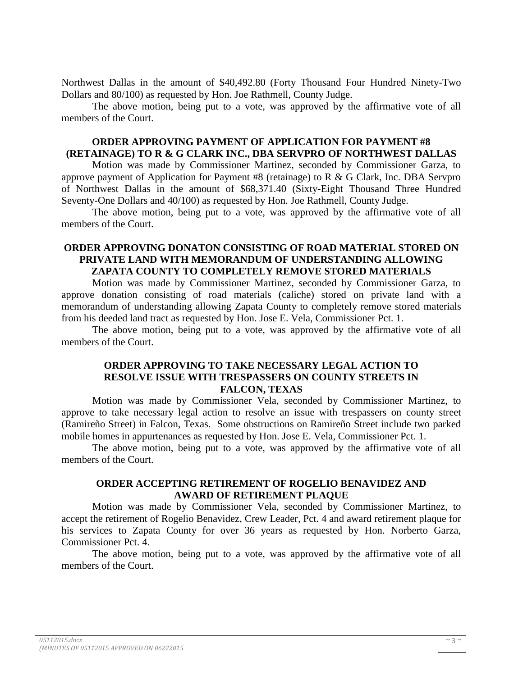Northwest Dallas in the amount of \$40,492.80 (Forty Thousand Four Hundred Ninety-Two Dollars and 80/100) as requested by Hon. Joe Rathmell, County Judge.

The above motion, being put to a vote, was approved by the affirmative vote of all members of the Court.

#### **ORDER APPROVING PAYMENT OF APPLICATION FOR PAYMENT #8 (RETAINAGE) TO R & G CLARK INC., DBA SERVPRO OF NORTHWEST DALLAS**

Motion was made by Commissioner Martinez, seconded by Commissioner Garza, to approve payment of Application for Payment #8 (retainage) to R & G Clark, Inc. DBA Servpro of Northwest Dallas in the amount of \$68,371.40 (Sixty-Eight Thousand Three Hundred Seventy-One Dollars and 40/100) as requested by Hon. Joe Rathmell, County Judge.

The above motion, being put to a vote, was approved by the affirmative vote of all members of the Court.

#### **ORDER APPROVING DONATON CONSISTING OF ROAD MATERIAL STORED ON PRIVATE LAND WITH MEMORANDUM OF UNDERSTANDING ALLOWING ZAPATA COUNTY TO COMPLETELY REMOVE STORED MATERIALS**

Motion was made by Commissioner Martinez, seconded by Commissioner Garza, to approve donation consisting of road materials (caliche) stored on private land with a memorandum of understanding allowing Zapata County to completely remove stored materials from his deeded land tract as requested by Hon. Jose E. Vela, Commissioner Pct. 1.

The above motion, being put to a vote, was approved by the affirmative vote of all members of the Court.

## **ORDER APPROVING TO TAKE NECESSARY LEGAL ACTION TO RESOLVE ISSUE WITH TRESPASSERS ON COUNTY STREETS IN FALCON, TEXAS**

Motion was made by Commissioner Vela, seconded by Commissioner Martinez, to approve to take necessary legal action to resolve an issue with trespassers on county street (Ramireño Street) in Falcon, Texas. Some obstructions on Ramireño Street include two parked mobile homes in appurtenances as requested by Hon. Jose E. Vela, Commissioner Pct. 1.

The above motion, being put to a vote, was approved by the affirmative vote of all members of the Court.

#### **ORDER ACCEPTING RETIREMENT OF ROGELIO BENAVIDEZ AND AWARD OF RETIREMENT PLAQUE**

Motion was made by Commissioner Vela, seconded by Commissioner Martinez, to accept the retirement of Rogelio Benavidez, Crew Leader, Pct. 4 and award retirement plaque for his services to Zapata County for over 36 years as requested by Hon. Norberto Garza, Commissioner Pct. 4.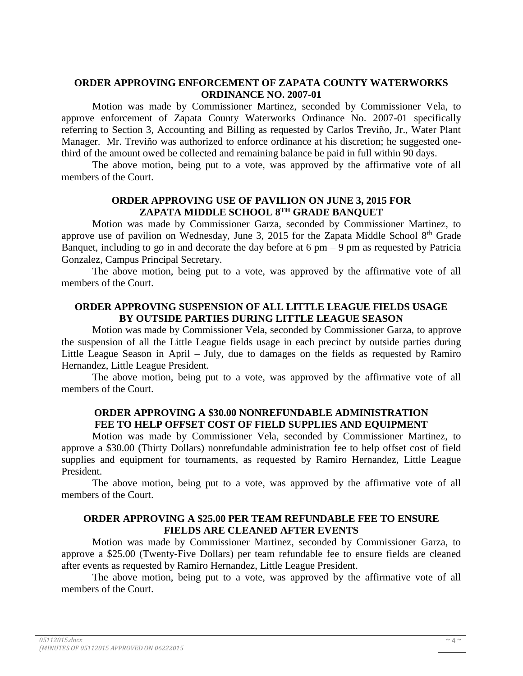#### **ORDER APPROVING ENFORCEMENT OF ZAPATA COUNTY WATERWORKS ORDINANCE NO. 2007-01**

Motion was made by Commissioner Martinez, seconded by Commissioner Vela, to approve enforcement of Zapata County Waterworks Ordinance No. 2007-01 specifically referring to Section 3, Accounting and Billing as requested by Carlos Treviño, Jr., Water Plant Manager. Mr. Treviño was authorized to enforce ordinance at his discretion; he suggested onethird of the amount owed be collected and remaining balance be paid in full within 90 days.

The above motion, being put to a vote, was approved by the affirmative vote of all members of the Court.

#### **ORDER APPROVING USE OF PAVILION ON JUNE 3, 2015 FOR ZAPATA MIDDLE SCHOOL 8TH GRADE BANQUET**

Motion was made by Commissioner Garza, seconded by Commissioner Martinez, to approve use of pavilion on Wednesday, June 3, 2015 for the Zapata Middle School  $8<sup>th</sup>$  Grade Banquet, including to go in and decorate the day before at  $6 \text{ pm} - 9 \text{ pm}$  as requested by Patricia Gonzalez, Campus Principal Secretary.

The above motion, being put to a vote, was approved by the affirmative vote of all members of the Court.

## **ORDER APPROVING SUSPENSION OF ALL LITTLE LEAGUE FIELDS USAGE BY OUTSIDE PARTIES DURING LITTLE LEAGUE SEASON**

Motion was made by Commissioner Vela, seconded by Commissioner Garza, to approve the suspension of all the Little League fields usage in each precinct by outside parties during Little League Season in April – July, due to damages on the fields as requested by Ramiro Hernandez, Little League President.

The above motion, being put to a vote, was approved by the affirmative vote of all members of the Court.

#### **ORDER APPROVING A \$30.00 NONREFUNDABLE ADMINISTRATION FEE TO HELP OFFSET COST OF FIELD SUPPLIES AND EQUIPMENT**

Motion was made by Commissioner Vela, seconded by Commissioner Martinez, to approve a \$30.00 (Thirty Dollars) nonrefundable administration fee to help offset cost of field supplies and equipment for tournaments, as requested by Ramiro Hernandez, Little League President.

The above motion, being put to a vote, was approved by the affirmative vote of all members of the Court.

#### **ORDER APPROVING A \$25.00 PER TEAM REFUNDABLE FEE TO ENSURE FIELDS ARE CLEANED AFTER EVENTS**

Motion was made by Commissioner Martinez, seconded by Commissioner Garza, to approve a \$25.00 (Twenty-Five Dollars) per team refundable fee to ensure fields are cleaned after events as requested by Ramiro Hernandez, Little League President.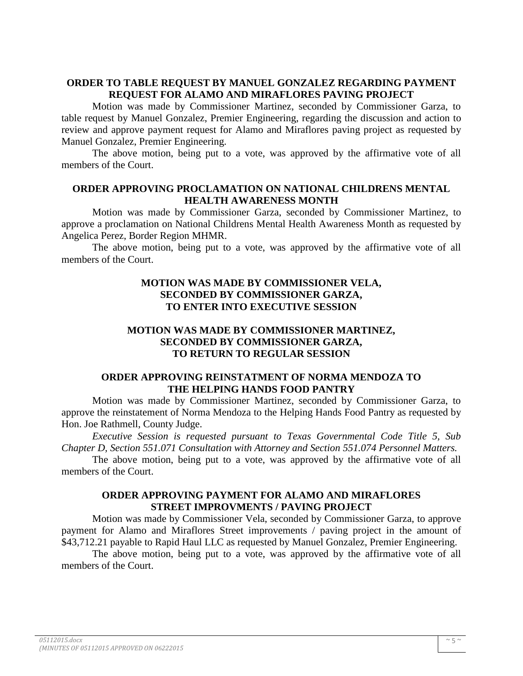## **ORDER TO TABLE REQUEST BY MANUEL GONZALEZ REGARDING PAYMENT REQUEST FOR ALAMO AND MIRAFLORES PAVING PROJECT**

Motion was made by Commissioner Martinez, seconded by Commissioner Garza, to table request by Manuel Gonzalez, Premier Engineering, regarding the discussion and action to review and approve payment request for Alamo and Miraflores paving project as requested by Manuel Gonzalez, Premier Engineering.

The above motion, being put to a vote, was approved by the affirmative vote of all members of the Court.

## **ORDER APPROVING PROCLAMATION ON NATIONAL CHILDRENS MENTAL HEALTH AWARENESS MONTH**

Motion was made by Commissioner Garza, seconded by Commissioner Martinez, to approve a proclamation on National Childrens Mental Health Awareness Month as requested by Angelica Perez, Border Region MHMR.

The above motion, being put to a vote, was approved by the affirmative vote of all members of the Court.

## **MOTION WAS MADE BY COMMISSIONER VELA, SECONDED BY COMMISSIONER GARZA, TO ENTER INTO EXECUTIVE SESSION**

# **MOTION WAS MADE BY COMMISSIONER MARTINEZ, SECONDED BY COMMISSIONER GARZA, TO RETURN TO REGULAR SESSION**

## **ORDER APPROVING REINSTATMENT OF NORMA MENDOZA TO THE HELPING HANDS FOOD PANTRY**

Motion was made by Commissioner Martinez, seconded by Commissioner Garza, to approve the reinstatement of Norma Mendoza to the Helping Hands Food Pantry as requested by Hon. Joe Rathmell, County Judge.

*Executive Session is requested pursuant to Texas Governmental Code Title 5, Sub Chapter D, Section 551.071 Consultation with Attorney and Section 551.074 Personnel Matters.*

The above motion, being put to a vote, was approved by the affirmative vote of all members of the Court.

## **ORDER APPROVING PAYMENT FOR ALAMO AND MIRAFLORES STREET IMPROVMENTS / PAVING PROJECT**

Motion was made by Commissioner Vela, seconded by Commissioner Garza, to approve payment for Alamo and Miraflores Street improvements / paving project in the amount of \$43,712.21 payable to Rapid Haul LLC as requested by Manuel Gonzalez, Premier Engineering.